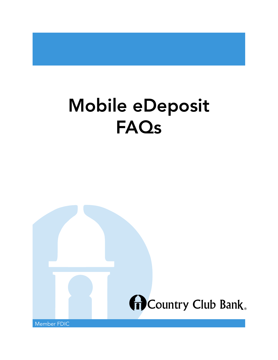# Mobile eDeposit FAQs

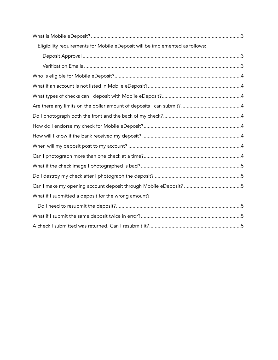| Eligibility requirements for Mobile eDeposit will be implemented as follows: |  |
|------------------------------------------------------------------------------|--|
|                                                                              |  |
|                                                                              |  |
|                                                                              |  |
|                                                                              |  |
|                                                                              |  |
|                                                                              |  |
|                                                                              |  |
|                                                                              |  |
|                                                                              |  |
|                                                                              |  |
|                                                                              |  |
|                                                                              |  |
|                                                                              |  |
|                                                                              |  |
| What if I submitted a deposit for the wrong amount?                          |  |
|                                                                              |  |
|                                                                              |  |
|                                                                              |  |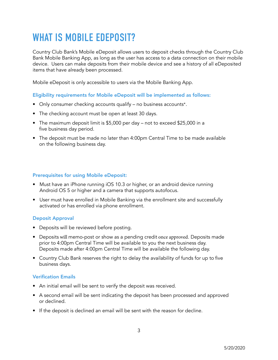# WHAT IS MOBILE EDEPOSIT?

 Country Club Bank's Mobile eDeposit allows users to deposit checks through the Country Club Bank Mobile Banking App, as long as the user has access to a data connection on their mobile device. Users can make deposits from their mobile device and see a history of all eDeposited items that have already been processed.

Mobile eDeposit is only accessible to users via the Mobile Banking App.

Eligibility requirements for Mobile eDeposit will be implemented as follows:

- Only consumer checking accounts qualify no business accounts\*.
- The checking account must be open at least 30 days.
- The maximum deposit limit is \$5,000 per day not to exceed \$25,000 in a five business day period.
- The deposit must be made no later than 4:00pm Central Time to be made available on the following business day.

### Prerequisites for using Mobile eDeposit:

- • Must have an iPhone running iOS 10.3 or higher, or an android device running Android OS 5 or higher and a camera that supports autofocus.
- User must have enrolled in Mobile Banking via the enrollment site and successfully activated or has enrolled via phone enrollment.

### Deposit Approval

- Deposits will be reviewed before posting.
- Deposits will memo-post or show as a pending credit once approved. Deposits made prior to 4:00pm Central Time will be available to you the next business day. Deposits made after 4:00pm Central Time will be available the following day.
- Country Club Bank reserves the right to delay the availability of funds for up to five business days.

### Verification Emails

- An initial email will be sent to verify the deposit was received.
- • A second email will be sent indicating the deposit has been processed and approved or declined.
- If the deposit is declined an email will be sent with the reason for decline.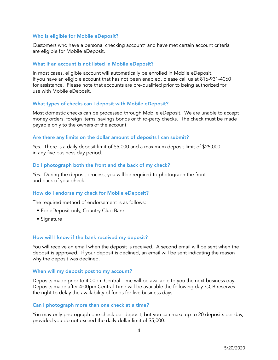#### Who is eligible for Mobile eDeposit?

Customers who have a personal checking account\* and have met certain account criteria are eligible for Mobile eDeposit.

#### What if an account is not listed in Mobile eDeposit?

In most cases, eligible account will automatically be enrolled in Mobile eDeposit. If you have an eligible account that has not been enabled, please call us at 816-931-4060 for assistance. Please note that accounts are pre-qualified prior to being authorized for use with Mobile eDeposit.

#### What types of checks can I deposit with Mobile eDeposit?

Most domestic checks can be processed through Mobile eDeposit. We are unable to accept money orders, foreign items, savings bonds or third-party checks. The check must be made payable only to the owners of the account.

#### Are there any limits on the dollar amount of deposits I can submit?

Yes. There is a daily deposit limit of \$5,000 and a maximum deposit limit of \$25,000 in any five business day period.

#### Do I photograph both the front and the back of my check?

Yes. During the deposit process, you will be required to photograph the front and back of your check.

### How do I endorse my check for Mobile eDeposit?

The required method of endorsement is as follows:

- For eDeposit only, Country Club Bank
- Signature

#### How will I know if the bank received my deposit?

 You will receive an email when the deposit is received. A second email will be sent when the deposit is approved. If your deposit is declined, an email will be sent indicating the reason why the deposit was declined.

#### When will my deposit post to my account?

 Deposits made prior to 4:00pm Central Time will be available to you the next business day. Deposits made after 4:00pm Central Time will be available the following day. CCB reserves the right to delay the availability of funds for five business days.

#### Can I photograph more than one check at a time?

 You may only photograph one check per deposit, but you can make up to 20 deposits per day, provided you do not exceed the daily dollar limit of \$5,000.